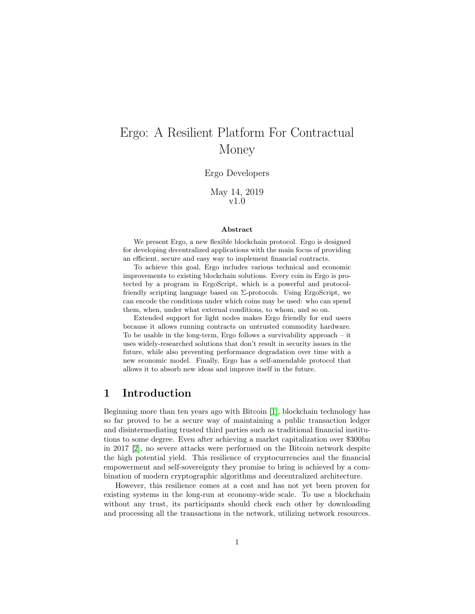# Ergo: A Resilient Platform For Contractual Money

#### Ergo Developers

May 14, 2019 v1.0

#### Abstract

We present Ergo, a new flexible blockchain protocol. Ergo is designed for developing decentralized applications with the main focus of providing an efficient, secure and easy way to implement financial contracts.

To achieve this goal, Ergo includes various technical and economic improvements to existing blockchain solutions. Every coin in Ergo is protected by a program in ErgoScript, which is a powerful and protocolfriendly scripting language based on  $\Sigma$ -protocols. Using ErgoScript, we can encode the conditions under which coins may be used: who can spend them, when, under what external conditions, to whom, and so on.

Extended support for light nodes makes Ergo friendly for end users because it allows running contracts on untrusted commodity hardware. To be usable in the long-term, Ergo follows a survivability approach – it uses widely-researched solutions that don't result in security issues in the future, while also preventing performance degradation over time with a new economic model. Finally, Ergo has a self-amendable protocol that allows it to absorb new ideas and improve itself in the future.

### 1 Introduction

Beginning more than ten years ago with Bitcoin [\[1\]](#page-18-0), blockchain technology has so far proved to be a secure way of maintaining a public transaction ledger and disintermediating trusted third parties such as traditional financial institutions to some degree. Even after achieving a market capitalization over \$300bn in 2017 [\[2\]](#page-18-1), no severe attacks were performed on the Bitcoin network despite the high potential yield. This resilience of cryptocurrencies and the financial empowerment and self-sovereignty they promise to bring is achieved by a combination of modern cryptographic algorithms and decentralized architecture.

However, this resilience comes at a cost and has not yet been proven for existing systems in the long-run at economy-wide scale. To use a blockchain without any trust, its participants should check each other by downloading and processing all the transactions in the network, utilizing network resources.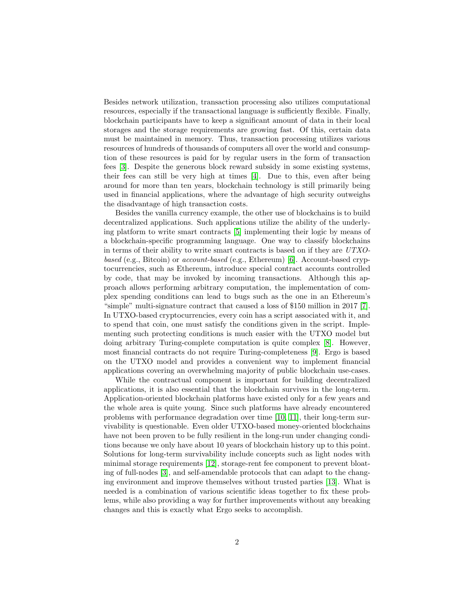Besides network utilization, transaction processing also utilizes computational resources, especially if the transactional language is sufficiently flexible. Finally, blockchain participants have to keep a significant amount of data in their local storages and the storage requirements are growing fast. Of this, certain data must be maintained in memory. Thus, transaction processing utilizes various resources of hundreds of thousands of computers all over the world and consumption of these resources is paid for by regular users in the form of transaction fees [\[3\]](#page-18-2). Despite the generous block reward subsidy in some existing systems, their fees can still be very high at times [\[4\]](#page-18-3). Due to this, even after being around for more than ten years, blockchain technology is still primarily being used in financial applications, where the advantage of high security outweighs the disadvantage of high transaction costs.

Besides the vanilla currency example, the other use of blockchains is to build decentralized applications. Such applications utilize the ability of the underlying platform to write smart contracts [\[5\]](#page-18-4) implementing their logic by means of a blockchain-specific programming language. One way to classify blockchains in terms of their ability to write smart contracts is based on if they are UTXObased (e.g., Bitcoin) or account-based (e.g., Ethereum) [\[6\]](#page-18-5). Account-based cryptocurrencies, such as Ethereum, introduce special contract accounts controlled by code, that may be invoked by incoming transactions. Although this approach allows performing arbitrary computation, the implementation of complex spending conditions can lead to bugs such as the one in an Ethereum's "simple" multi-signature contract that caused a loss of \$150 million in 2017 [\[7\]](#page-18-6). In UTXO-based cryptocurrencies, every coin has a script associated with it, and to spend that coin, one must satisfy the conditions given in the script. Implementing such protecting conditions is much easier with the UTXO model but doing arbitrary Turing-complete computation is quite complex [\[8\]](#page-18-7). However, most financial contracts do not require Turing-completeness [\[9\]](#page-18-8). Ergo is based on the UTXO model and provides a convenient way to implement financial applications covering an overwhelming majority of public blockchain use-cases.

While the contractual component is important for building decentralized applications, it is also essential that the blockchain survives in the long-term. Application-oriented blockchain platforms have existed only for a few years and the whole area is quite young. Since such platforms have already encountered problems with performance degradation over time [\[10,](#page-18-9) [11\]](#page-19-0), their long-term survivability is questionable. Even older UTXO-based money-oriented blockchains have not been proven to be fully resilient in the long-run under changing conditions because we only have about 10 years of blockchain history up to this point. Solutions for long-term survivability include concepts such as light nodes with minimal storage requirements [\[12\]](#page-19-1), storage-rent fee component to prevent bloating of full-nodes [\[3\]](#page-18-2), and self-amendable protocols that can adapt to the changing environment and improve themselves without trusted parties [\[13\]](#page-19-2). What is needed is a combination of various scientific ideas together to fix these problems, while also providing a way for further improvements without any breaking changes and this is exactly what Ergo seeks to accomplish.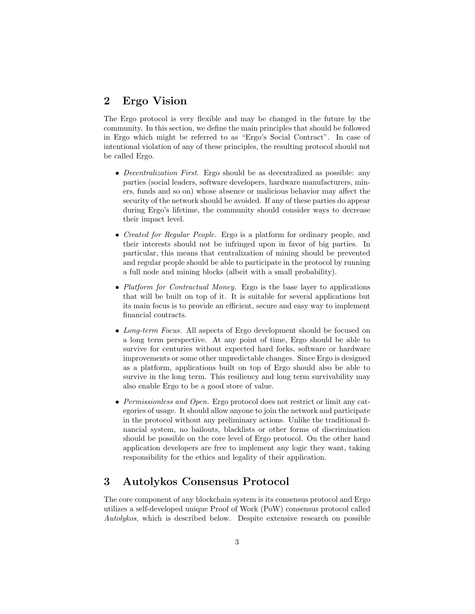# 2 Ergo Vision

The Ergo protocol is very flexible and may be changed in the future by the community. In this section, we define the main principles that should be followed in Ergo which might be referred to as "Ergo's Social Contract". In case of intentional violation of any of these principles, the resulting protocol should not be called Ergo.

- Decentralization First. Ergo should be as decentralized as possible: any parties (social leaders, software developers, hardware manufacturers, miners, funds and so on) whose absence or malicious behavior may affect the security of the network should be avoided. If any of these parties do appear during Ergo's lifetime, the community should consider ways to decrease their impact level.
- Created for Regular People. Ergo is a platform for ordinary people, and their interests should not be infringed upon in favor of big parties. In particular, this means that centralization of mining should be prevented and regular people should be able to participate in the protocol by running a full node and mining blocks (albeit with a small probability).
- Platform for Contractual Money. Ergo is the base layer to applications that will be built on top of it. It is suitable for several applications but its main focus is to provide an efficient, secure and easy way to implement financial contracts.
- Long-term Focus. All aspects of Ergo development should be focused on a long term perspective. At any point of time, Ergo should be able to survive for centuries without expected hard forks, software or hardware improvements or some other unpredictable changes. Since Ergo is designed as a platform, applications built on top of Ergo should also be able to survive in the long term. This resiliency and long term survivability may also enable Ergo to be a good store of value.
- Permissionless and Open. Ergo protocol does not restrict or limit any categories of usage. It should allow anyone to join the network and participate in the protocol without any preliminary actions. Unlike the traditional financial system, no bailouts, blacklists or other forms of discrimination should be possible on the core level of Ergo protocol. On the other hand application developers are free to implement any logic they want, taking responsibility for the ethics and legality of their application.

# 3 Autolykos Consensus Protocol

The core component of any blockchain system is its consensus protocol and Ergo utilizes a self-developed unique Proof of Work (PoW) consensus protocol called Autolykos, which is described below. Despite extensive research on possible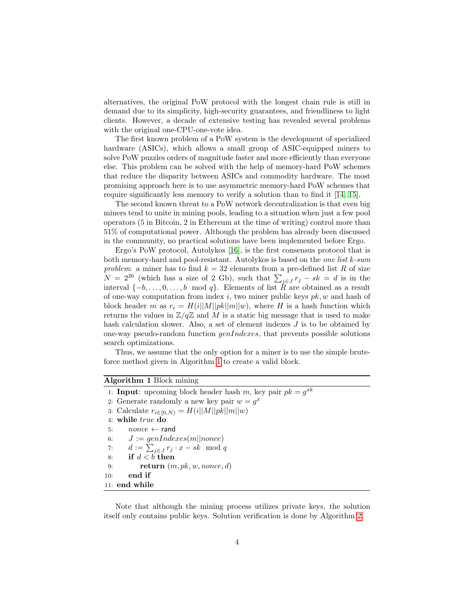alternatives, the original PoW protocol with the longest chain rule is still in demand due to its simplicity, high-security guarantees, and friendliness to light clients. However, a decade of extensive testing has revealed several problems with the original one-CPU-one-vote idea.

The first known problem of a PoW system is the development of specialized hardware (ASICs), which allows a small group of ASIC-equipped miners to solve PoW puzzles orders of magnitude faster and more efficiently than everyone else. This problem can be solved with the help of memory-hard PoW schemes that reduce the disparity between ASICs and commodity hardware. The most promising approach here is to use asymmetric memory-hard PoW schemes that require significantly less memory to verify a solution than to find it [\[14,](#page-19-3) [15\]](#page-19-4).

The second known threat to a PoW network decentralization is that even big miners tend to unite in mining pools, leading to a situation when just a few pool operators (5 in Bitcoin, 2 in Ethereum at the time of writing) control more than 51% of computational power. Although the problem has already been discussed in the community, no practical solutions have been implemented before Ergo.

Ergo's PoW protocol, Autolykos [\[16\]](#page-19-5), is the first consensus protocol that is both memory-hard and pool-resistant. Autolykos is based on the *one list*  $k$ -sum problem: a miner has to find  $k = 32$  elements from a pre-defined list R of size  $N = 2^{26}$  (which has a size of 2 Gb), such that  $\sum_{j \in J} r_j - sk = d$  is in the interval  $\{-b, \ldots, 0, \ldots, b \mod q\}$ . Elements of list  $R$  are obtained as a result of one-way computation from index i, two miner public keys  $pk$ , w and hash of block header m as  $r_i = H(i||M||pk||m||w)$ , where H is a hash function which returns the values in  $\mathbb{Z}/q\mathbb{Z}$  and M is a static big message that is used to make hash calculation slower. Also, a set of element indexes J is to be obtained by one-way pseudo-random function  $\varphi$ enIndexes, that prevents possible solutions search optimizations.

Thus, we assume that the only option for a miner is to use the simple bruteforce method given in Algorithm [1](#page-3-0) to create a valid block.

#### Algorithm 1 Block mining

<span id="page-3-0"></span>1: **Input**: upcoming block header hash m, key pair  $pk = g^{sk}$ 2: Generate randomly a new key pair  $w = g^x$ 3: Calculate  $r_{i \in [0,N)} = H(i||M||pk||m||w)$ 4: while true do 5:  $\qquad$   $\qquad$   $\qquad$   $\qquad$   $\qquad$   $\qquad$   $\qquad$   $\qquad$   $\qquad$   $\qquad$   $\qquad$   $\qquad$   $\qquad$   $\qquad$   $\qquad$   $\qquad$   $\qquad$   $\qquad$   $\qquad$   $\qquad$   $\qquad$   $\qquad$   $\qquad$   $\qquad$   $\qquad$   $\qquad$   $\qquad$   $\qquad$   $\qquad$   $\qquad$   $\qquad$   $\qquad$   $\qquad$   $\qquad$   $\qquad$   $\qquad$   $\$ 6:  $J := genIndexes(m||none)$ 7:  $d := \sum_{j \in J} r_j \cdot x - sk \mod q$ 8: if  $d < b$  then 9: return  $(m, pk, w, nonce, d)$ 10: end if 11: end while

Note that although the mining process utilizes private keys, the solution itself only contains public keys. Solution verification is done by Algorithm [2.](#page-4-0)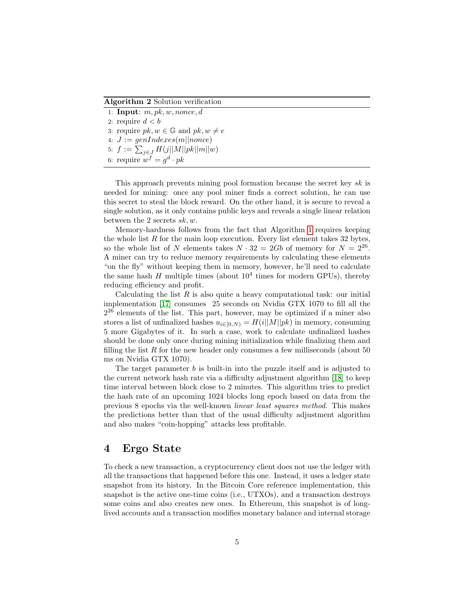Algorithm 2 Solution verification

<span id="page-4-0"></span>1: **Input**:  $m, pk, w, none, d$ 2: require  $d < b$ 3: require  $pk, w \in \mathbb{G}$  and  $pk, w \neq e$ 4:  $J := genIndexes(m||none)$ 5:  $f := \sum_{j \in J} H(j||M||pk||m||w)$ 6: require  $w^f = g^d \cdot pk$ 

This approach prevents mining pool formation because the secret key sk is needed for mining: once any pool miner finds a correct solution, he can use this secret to steal the block reward. On the other hand, it is secure to reveal a single solution, as it only contains public keys and reveals a single linear relation between the 2 secrets  $sk, w$ .

Memory-hardness follows from the fact that Algorithm [1](#page-3-0) requires keeping the whole list  $R$  for the main loop execution. Every list element takes 32 bytes, so the whole list of N elements takes  $N \cdot 32 = 2Gb$  of memory for  $N = 2^{26}$ . A miner can try to reduce memory requirements by calculating these elements "on the fly" without keeping them in memory, however, he'll need to calculate the same hash  $H$  multiple times (about  $10^4$  times for modern GPUs), thereby reducing efficiency and profit.

Calculating the list  $R$  is also quite a heavy computational task: our initial implementation [\[17\]](#page-19-6) consumes 25 seconds on Nvidia GTX 1070 to fill all the 2 <sup>26</sup> elements of the list. This part, however, may be optimized if a miner also stores a list of unfinalized hashes  $u_{i\in[0,N)} = H(i||M||pk)$  in memory, consuming 5 more Gigabytes of it. In such a case, work to calculate unfinalized hashes should be done only once during mining initialization while finalizing them and filling the list  $R$  for the new header only consumes a few milliseconds (about 50) ms on Nvidia GTX 1070).

The target parameter b is built-in into the puzzle itself and is adjusted to the current network hash rate via a difficulty adjustment algorithm [\[18\]](#page-19-7) to keep time interval between block close to 2 minutes. This algorithm tries to predict the hash rate of an upcoming 1024 blocks long epoch based on data from the previous 8 epochs via the well-known linear least squares method. This makes the predictions better than that of the usual difficulty adjustment algorithm and also makes "coin-hopping" attacks less profitable.

### <span id="page-4-1"></span>4 Ergo State

To check a new transaction, a cryptocurrency client does not use the ledger with all the transactions that happened before this one. Instead, it uses a ledger state snapshot from its history. In the Bitcoin Core reference implementation, this snapshot is the active one-time coins (i.e., UTXOs), and a transaction destroys some coins and also creates new ones. In Ethereum, this snapshot is of longlived accounts and a transaction modifies monetary balance and internal storage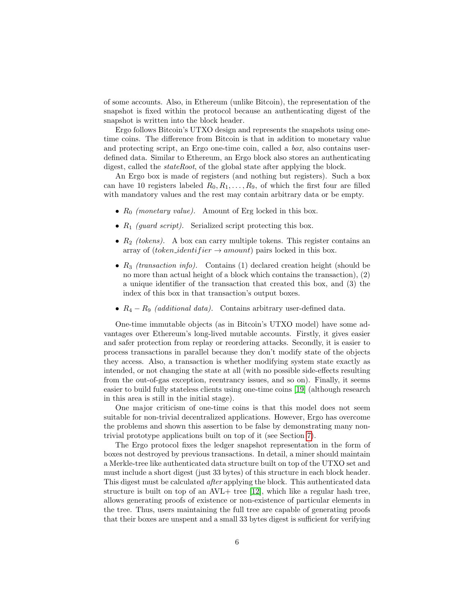of some accounts. Also, in Ethereum (unlike Bitcoin), the representation of the snapshot is fixed within the protocol because an authenticating digest of the snapshot is written into the block header.

Ergo follows Bitcoin's UTXO design and represents the snapshots using onetime coins. The difference from Bitcoin is that in addition to monetary value and protecting script, an Ergo one-time coin, called a box, also contains userdefined data. Similar to Ethereum, an Ergo block also stores an authenticating digest, called the *stateRoot*, of the global state after applying the block.

An Ergo box is made of registers (and nothing but registers). Such a box can have 10 registers labeled  $R_0, R_1, \ldots, R_9$ , of which the first four are filled with mandatory values and the rest may contain arbitrary data or be empty.

- $R_0$  (monetary value). Amount of Erg locked in this box.
- $R_1$  (guard script). Serialized script protecting this box.
- $R_2$  (tokens). A box can carry multiple tokens. This register contains an array of (*token\_identifier*  $\rightarrow$  *amount*) pairs locked in this box.
- $R_3$  (transaction info). Contains (1) declared creation height (should be no more than actual height of a block which contains the transaction), (2) a unique identifier of the transaction that created this box, and (3) the index of this box in that transaction's output boxes.
- $R_4 R_9$  (additional data). Contains arbitrary user-defined data.

One-time immutable objects (as in Bitcoin's UTXO model) have some advantages over Ethereum's long-lived mutable accounts. Firstly, it gives easier and safer protection from replay or reordering attacks. Secondly, it is easier to process transactions in parallel because they don't modify state of the objects they access. Also, a transaction is whether modifying system state exactly as intended, or not changing the state at all (with no possible side-effects resulting from the out-of-gas exception, reentrancy issues, and so on). Finally, it seems easier to build fully stateless clients using one-time coins [\[19\]](#page-19-8) (although research in this area is still in the initial stage).

One major criticism of one-time coins is that this model does not seem suitable for non-trivial decentralized applications. However, Ergo has overcome the problems and shown this assertion to be false by demonstrating many nontrivial prototype applications built on top of it (see Section [7\)](#page-12-0).

The Ergo protocol fixes the ledger snapshot representation in the form of boxes not destroyed by previous transactions. In detail, a miner should maintain a Merkle-tree like authenticated data structure built on top of the UTXO set and must include a short digest (just 33 bytes) of this structure in each block header. This digest must be calculated after applying the block. This authenticated data structure is built on top of an  $AVL+$  tree [\[12\]](#page-19-1), which like a regular hash tree, allows generating proofs of existence or non-existence of particular elements in the tree. Thus, users maintaining the full tree are capable of generating proofs that their boxes are unspent and a small 33 bytes digest is sufficient for verifying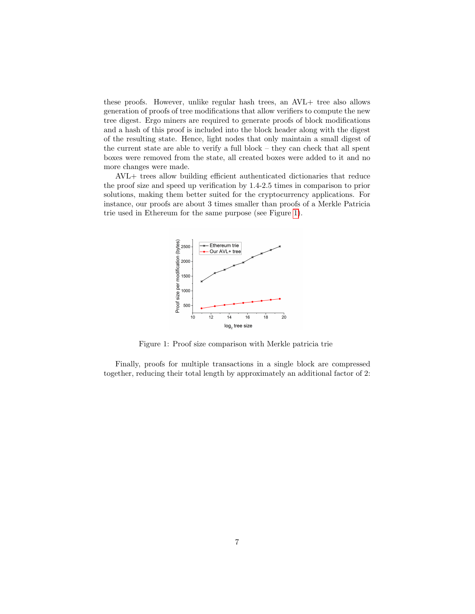these proofs. However, unlike regular hash trees, an AVL+ tree also allows generation of proofs of tree modifications that allow verifiers to compute the new tree digest. Ergo miners are required to generate proofs of block modifications and a hash of this proof is included into the block header along with the digest of the resulting state. Hence, light nodes that only maintain a small digest of the current state are able to verify a full block – they can check that all spent boxes were removed from the state, all created boxes were added to it and no more changes were made.

AVL+ trees allow building efficient authenticated dictionaries that reduce the proof size and speed up verification by 1.4-2.5 times in comparison to prior solutions, making them better suited for the cryptocurrency applications. For instance, our proofs are about 3 times smaller than proofs of a Merkle Patricia trie used in Ethereum for the same purpose (see Figure [1\)](#page-6-0).

<span id="page-6-0"></span>

Figure 1: Proof size comparison with Merkle patricia trie

Finally, proofs for multiple transactions in a single block are compressed together, reducing their total length by approximately an additional factor of 2: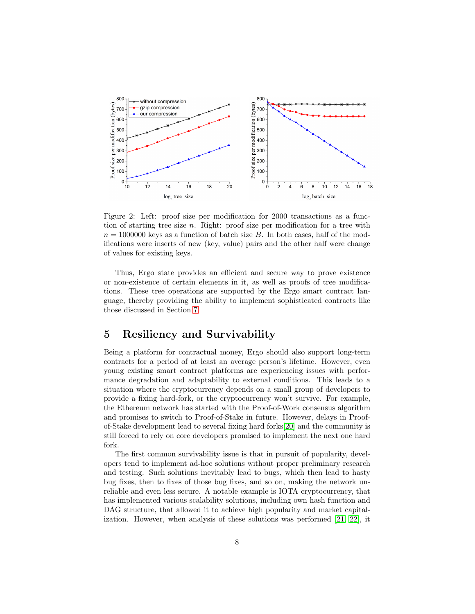

Figure 2: Left: proof size per modification for 2000 transactions as a function of starting tree size  $n$ . Right: proof size per modification for a tree with  $n = 1000000$  keys as a function of batch size B. In both cases, half of the modifications were inserts of new (key, value) pairs and the other half were change of values for existing keys.

Thus, Ergo state provides an efficient and secure way to prove existence or non-existence of certain elements in it, as well as proofs of tree modifications. These tree operations are supported by the Ergo smart contract language, thereby providing the ability to implement sophisticated contracts like those discussed in Section [7](#page-12-0)

## 5 Resiliency and Survivability

Being a platform for contractual money, Ergo should also support long-term contracts for a period of at least an average person's lifetime. However, even young existing smart contract platforms are experiencing issues with performance degradation and adaptability to external conditions. This leads to a situation where the cryptocurrency depends on a small group of developers to provide a fixing hard-fork, or the cryptocurrency won't survive. For example, the Ethereum network has started with the Proof-of-Work consensus algorithm and promises to switch to Proof-of-Stake in future. However, delays in Proofof-Stake development lead to several fixing hard forks[\[20\]](#page-19-9) and the community is still forced to rely on core developers promised to implement the next one hard fork.

The first common survivability issue is that in pursuit of popularity, developers tend to implement ad-hoc solutions without proper preliminary research and testing. Such solutions inevitably lead to bugs, which then lead to hasty bug fixes, then to fixes of those bug fixes, and so on, making the network unreliable and even less secure. A notable example is IOTA cryptocurrency, that has implemented various scalability solutions, including own hash function and DAG structure, that allowed it to achieve high popularity and market capitalization. However, when analysis of these solutions was performed [\[21,](#page-19-10) [22\]](#page-19-11), it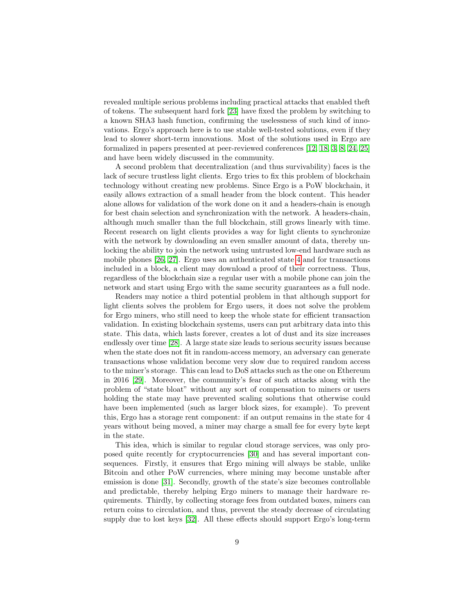revealed multiple serious problems including practical attacks that enabled theft of tokens. The subsequent hard fork [\[23\]](#page-19-12) have fixed the problem by switching to a known SHA3 hash function, confirming the uselessness of such kind of innovations. Ergo's approach here is to use stable well-tested solutions, even if they lead to slower short-term innovations. Most of the solutions used in Ergo are formalized in papers presented at peer-reviewed conferences [\[12,](#page-19-1) [18,](#page-19-7) [3,](#page-18-2) [8,](#page-18-7) [24,](#page-20-0) [25\]](#page-20-1) and have been widely discussed in the community.

A second problem that decentralization (and thus survivability) faces is the lack of secure trustless light clients. Ergo tries to fix this problem of blockchain technology without creating new problems. Since Ergo is a PoW blockchain, it easily allows extraction of a small header from the block content. This header alone allows for validation of the work done on it and a headers-chain is enough for best chain selection and synchronization with the network. A headers-chain, although much smaller than the full blockchain, still grows linearly with time. Recent research on light clients provides a way for light clients to synchronize with the network by downloading an even smaller amount of data, thereby unlocking the ability to join the network using untrusted low-end hardware such as mobile phones [\[26,](#page-20-2) [27\]](#page-20-3). Ergo uses an authenticated state [4](#page-4-1) and for transactions included in a block, a client may download a proof of their correctness. Thus, regardless of the blockchain size a regular user with a mobile phone can join the network and start using Ergo with the same security guarantees as a full node.

Readers may notice a third potential problem in that although support for light clients solves the problem for Ergo users, it does not solve the problem for Ergo miners, who still need to keep the whole state for efficient transaction validation. In existing blockchain systems, users can put arbitrary data into this state. This data, which lasts forever, creates a lot of dust and its size increases endlessly over time [\[28\]](#page-20-4). A large state size leads to serious security issues because when the state does not fit in random-access memory, an adversary can generate transactions whose validation become very slow due to required random access to the miner's storage. This can lead to DoS attacks such as the one on Ethereum in 2016 [\[29\]](#page-20-5). Moreover, the community's fear of such attacks along with the problem of "state bloat" without any sort of compensation to miners or users holding the state may have prevented scaling solutions that otherwise could have been implemented (such as larger block sizes, for example). To prevent this, Ergo has a storage rent component: if an output remains in the state for 4 years without being moved, a miner may charge a small fee for every byte kept in the state.

This idea, which is similar to regular cloud storage services, was only proposed quite recently for cryptocurrencies [\[30\]](#page-20-6) and has several important consequences. Firstly, it ensures that Ergo mining will always be stable, unlike Bitcoin and other PoW currencies, where mining may become unstable after emission is done [\[31\]](#page-20-7). Secondly, growth of the state's size becomes controllable and predictable, thereby helping Ergo miners to manage their hardware requirements. Thirdly, by collecting storage fees from outdated boxes, miners can return coins to circulation, and thus, prevent the steady decrease of circulating supply due to lost keys [\[32\]](#page-20-8). All these effects should support Ergo's long-term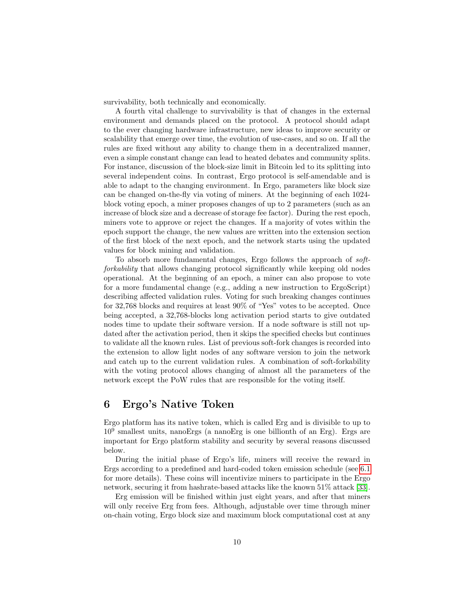survivability, both technically and economically.

A fourth vital challenge to survivability is that of changes in the external environment and demands placed on the protocol. A protocol should adapt to the ever changing hardware infrastructure, new ideas to improve security or scalability that emerge over time, the evolution of use-cases, and so on. If all the rules are fixed without any ability to change them in a decentralized manner, even a simple constant change can lead to heated debates and community splits. For instance, discussion of the block-size limit in Bitcoin led to its splitting into several independent coins. In contrast, Ergo protocol is self-amendable and is able to adapt to the changing environment. In Ergo, parameters like block size can be changed on-the-fly via voting of miners. At the beginning of each 1024 block voting epoch, a miner proposes changes of up to 2 parameters (such as an increase of block size and a decrease of storage fee factor). During the rest epoch, miners vote to approve or reject the changes. If a majority of votes within the epoch support the change, the new values are written into the extension section of the first block of the next epoch, and the network starts using the updated values for block mining and validation.

To absorb more fundamental changes, Ergo follows the approach of softforkability that allows changing protocol significantly while keeping old nodes operational. At the beginning of an epoch, a miner can also propose to vote for a more fundamental change (e.g., adding a new instruction to ErgoScript) describing affected validation rules. Voting for such breaking changes continues for 32,768 blocks and requires at least 90% of "Yes" votes to be accepted. Once being accepted, a 32,768-blocks long activation period starts to give outdated nodes time to update their software version. If a node software is still not updated after the activation period, then it skips the specified checks but continues to validate all the known rules. List of previous soft-fork changes is recorded into the extension to allow light nodes of any software version to join the network and catch up to the current validation rules. A combination of soft-forkability with the voting protocol allows changing of almost all the parameters of the network except the PoW rules that are responsible for the voting itself.

## 6 Ergo's Native Token

Ergo platform has its native token, which is called Erg and is divisible to up to 10<sup>9</sup> smallest units, nanoErgs (a nanoErg is one billionth of an Erg). Ergs are important for Ergo platform stability and security by several reasons discussed below.

During the initial phase of Ergo's life, miners will receive the reward in Ergs according to a predefined and hard-coded token emission schedule (see [6.1](#page-10-0) for more details). These coins will incentivize miners to participate in the Ergo network, securing it from hashrate-based attacks like the known 51% attack [\[33\]](#page-20-9).

Erg emission will be finished within just eight years, and after that miners will only receive Erg from fees. Although, adjustable over time through miner on-chain voting, Ergo block size and maximum block computational cost at any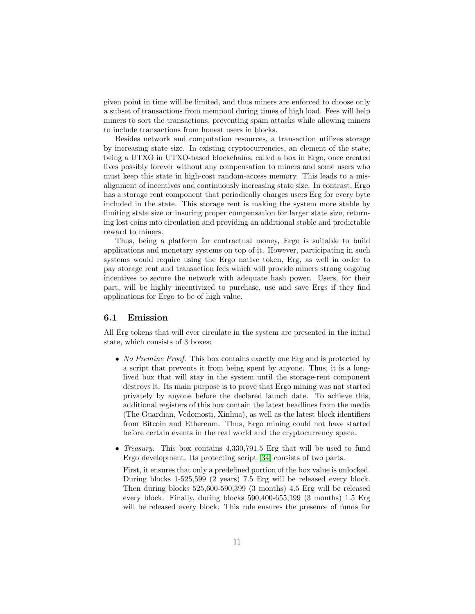given point in time will be limited, and thus miners are enforced to choose only a subset of transactions from mempool during times of high load. Fees will help miners to sort the transactions, preventing spam attacks while allowing miners to include transactions from honest users in blocks.

Besides network and computation resources, a transaction utilizes storage by increasing state size. In existing cryptocurrencies, an element of the state, being a UTXO in UTXO-based blockchains, called a box in Ergo, once created lives possibly forever without any compensation to miners and some users who must keep this state in high-cost random-access memory. This leads to a misalignment of incentives and continuously increasing state size. In contrast, Ergo has a storage rent component that periodically charges users Erg for every byte included in the state. This storage rent is making the system more stable by limiting state size or insuring proper compensation for larger state size, returning lost coins into circulation and providing an additional stable and predictable reward to miners.

Thus, being a platform for contractual money, Ergo is suitable to build applications and monetary systems on top of it. However, participating in such systems would require using the Ergo native token, Erg, as well in order to pay storage rent and transaction fees which will provide miners strong ongoing incentives to secure the network with adequate hash power. Users, for their part, will be highly incentivized to purchase, use and save Ergs if they find applications for Ergo to be of high value.

#### <span id="page-10-0"></span>6.1 Emission

All Erg tokens that will ever circulate in the system are presented in the initial state, which consists of 3 boxes:

- No Premine Proof. This box contains exactly one Erg and is protected by a script that prevents it from being spent by anyone. Thus, it is a longlived box that will stay in the system until the storage-rent component destroys it. Its main purpose is to prove that Ergo mining was not started privately by anyone before the declared launch date. To achieve this, additional registers of this box contain the latest headlines from the media (The Guardian, Vedomosti, Xinhua), as well as the latest block identifiers from Bitcoin and Ethereum. Thus, Ergo mining could not have started before certain events in the real world and the cryptocurrency space.
- *Treasury*. This box contains 4,330,791.5 Erg that will be used to fund Ergo development. Its protecting script [\[34\]](#page-20-10) consists of two parts.

First, it ensures that only a predefined portion of the box value is unlocked. During blocks 1-525,599 (2 years) 7.5 Erg will be released every block. Then during blocks 525,600-590,399 (3 months) 4.5 Erg will be released every block. Finally, during blocks 590,400-655,199 (3 months) 1.5 Erg will be released every block. This rule ensures the presence of funds for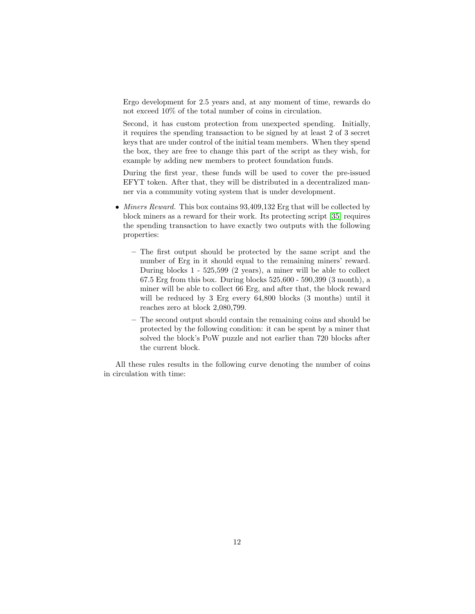Ergo development for 2.5 years and, at any moment of time, rewards do not exceed 10% of the total number of coins in circulation.

Second, it has custom protection from unexpected spending. Initially, it requires the spending transaction to be signed by at least 2 of 3 secret keys that are under control of the initial team members. When they spend the box, they are free to change this part of the script as they wish, for example by adding new members to protect foundation funds.

During the first year, these funds will be used to cover the pre-issued EFYT token. After that, they will be distributed in a decentralized manner via a community voting system that is under development.

- Miners Reward. This box contains 93,409,132 Erg that will be collected by block miners as a reward for their work. Its protecting script [\[35\]](#page-20-11) requires the spending transaction to have exactly two outputs with the following properties:
	- The first output should be protected by the same script and the number of Erg in it should equal to the remaining miners' reward. During blocks 1 - 525,599 (2 years), a miner will be able to collect 67.5 Erg from this box. During blocks 525,600 - 590,399 (3 month), a miner will be able to collect 66 Erg, and after that, the block reward will be reduced by 3 Erg every 64,800 blocks (3 months) until it reaches zero at block 2,080,799.
	- The second output should contain the remaining coins and should be protected by the following condition: it can be spent by a miner that solved the block's PoW puzzle and not earlier than 720 blocks after the current block.

All these rules results in the following curve denoting the number of coins in circulation with time: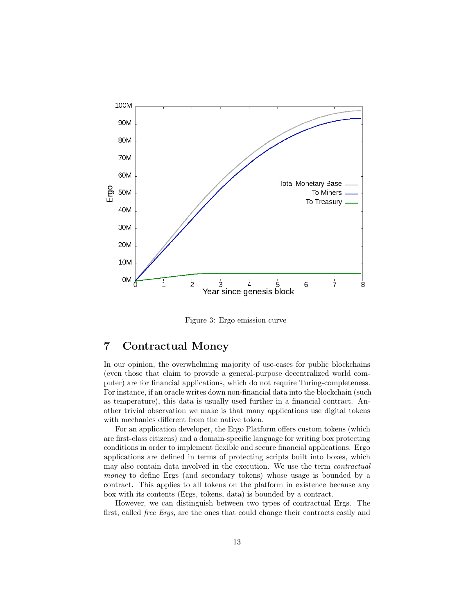

Figure 3: Ergo emission curve

# <span id="page-12-0"></span>7 Contractual Money

In our opinion, the overwhelming majority of use-cases for public blockchains (even those that claim to provide a general-purpose decentralized world computer) are for financial applications, which do not require Turing-completeness. For instance, if an oracle writes down non-financial data into the blockchain (such as temperature), this data is usually used further in a financial contract. Another trivial observation we make is that many applications use digital tokens with mechanics different from the native token.

For an application developer, the Ergo Platform offers custom tokens (which are first-class citizens) and a domain-specific language for writing box protecting conditions in order to implement flexible and secure financial applications. Ergo applications are defined in terms of protecting scripts built into boxes, which may also contain data involved in the execution. We use the term contractual money to define Ergs (and secondary tokens) whose usage is bounded by a contract. This applies to all tokens on the platform in existence because any box with its contents (Ergs, tokens, data) is bounded by a contract.

However, we can distinguish between two types of contractual Ergs. The first, called free Ergs, are the ones that could change their contracts easily and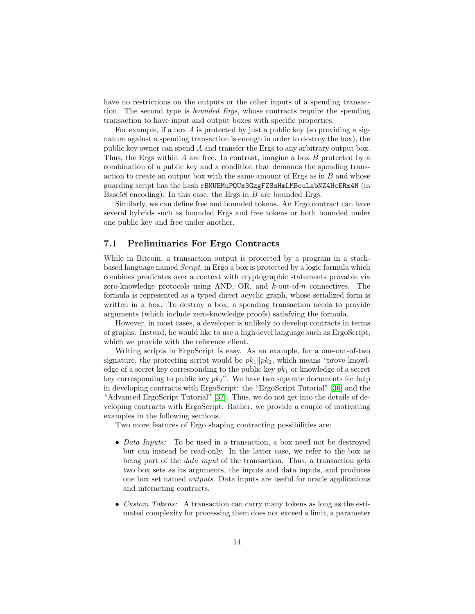have no restrictions on the outputs or the other inputs of a spending transaction. The second type is bounded Ergs, whose contracts require the spending transaction to have input and output boxes with specific properties.

For example, if a box  $\vec{A}$  is protected by just a public key (so providing a signature against a spending transaction is enough in order to destroy the box), the public key owner can spend A and transfer the Ergs to any arbitrary output box. Thus, the Ergs within  $A$  are free. In contrast, imagine a box  $B$  protected by a combination of a public key and a condition that demands the spending transaction to create an output box with the same amount of Ergs as in  $B$  and whose guarding script has the hash rBMUEMuPQUx3GzgFZSsHmLMBouLabNZ4HcERm4N (in Base58 encoding). In this case, the Ergs in B are bounded Ergs.

Similarly, we can define free and bounded tokens. An Ergo contract can have several hybrids such as bounded Ergs and free tokens or both bounded under one public key and free under another.

### 7.1 Preliminaries For Ergo Contracts

While in Bitcoin, a transaction output is protected by a program in a stackbased language named Script, in Ergo a box is protected by a logic formula which combines predicates over a context with cryptographic statements provable via zero-knowledge protocols using AND, OR, and  $k$ -out-of-n connectives. The formula is represented as a typed direct acyclic graph, whose serialized form is written in a box. To destroy a box, a spending transaction needs to provide arguments (which include zero-knowledge proofs) satisfying the formula.

However, in most cases, a developer is unlikely to develop contracts in terms of graphs. Instead, he would like to use a high-level language such as ErgoScript, which we provide with the reference client.

Writing scripts in ErgoScript is easy. As an example, for a one-out-of-two signature, the protecting script would be  $pk_1||pk_2$ , which means "prove knowledge of a secret key corresponding to the public key  $pk_1$  or knowledge of a secret key corresponding to public key  $pk_2$ ". We have two separate documents for help in developing contracts with ErgoScript: the "ErgoScript Tutorial" [\[36\]](#page-21-0) and the "Advanced ErgoScript Tutorial" [\[37\]](#page-21-1). Thus, we do not get into the details of developing contracts with ErgoScript. Rather, we provide a couple of motivating examples in the following sections.

Two more features of Ergo shaping contracting possibilities are:

- Data Inputs: To be used in a transaction, a box need not be destroyed but can instead be read-only. In the latter case, we refer to the box as being part of the *data input* of the transaction. Thus, a transaction gets two box sets as its arguments, the inputs and data inputs, and produces one box set named outputs. Data inputs are useful for oracle applications and interacting contracts.
- Custom Tokens: A transaction can carry many tokens as long as the estimated complexity for processing them does not exceed a limit, a parameter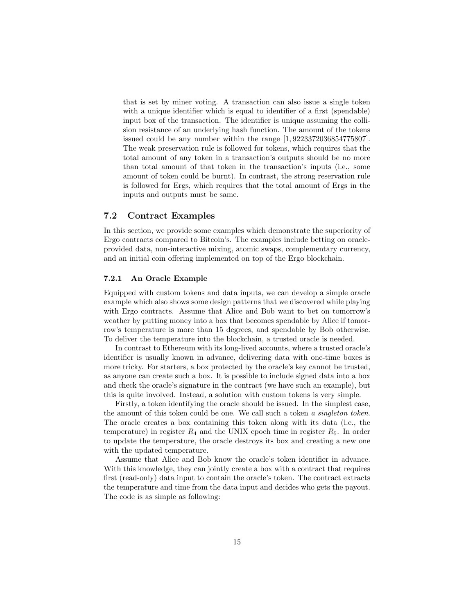that is set by miner voting. A transaction can also issue a single token with a unique identifier which is equal to identifier of a first (spendable) input box of the transaction. The identifier is unique assuming the collision resistance of an underlying hash function. The amount of the tokens issued could be any number within the range [1, 9223372036854775807]. The weak preservation rule is followed for tokens, which requires that the total amount of any token in a transaction's outputs should be no more than total amount of that token in the transaction's inputs (i.e., some amount of token could be burnt). In contrast, the strong reservation rule is followed for Ergs, which requires that the total amount of Ergs in the inputs and outputs must be same.

#### 7.2 Contract Examples

In this section, we provide some examples which demonstrate the superiority of Ergo contracts compared to Bitcoin's. The examples include betting on oracleprovided data, non-interactive mixing, atomic swaps, complementary currency, and an initial coin offering implemented on top of the Ergo blockchain.

#### 7.2.1 An Oracle Example

Equipped with custom tokens and data inputs, we can develop a simple oracle example which also shows some design patterns that we discovered while playing with Ergo contracts. Assume that Alice and Bob want to bet on tomorrow's weather by putting money into a box that becomes spendable by Alice if tomorrow's temperature is more than 15 degrees, and spendable by Bob otherwise. To deliver the temperature into the blockchain, a trusted oracle is needed.

In contrast to Ethereum with its long-lived accounts, where a trusted oracle's identifier is usually known in advance, delivering data with one-time boxes is more tricky. For starters, a box protected by the oracle's key cannot be trusted, as anyone can create such a box. It is possible to include signed data into a box and check the oracle's signature in the contract (we have such an example), but this is quite involved. Instead, a solution with custom tokens is very simple.

Firstly, a token identifying the oracle should be issued. In the simplest case, the amount of this token could be one. We call such a token a singleton token. The oracle creates a box containing this token along with its data (i.e., the temperature) in register  $R_4$  and the UNIX epoch time in register  $R_5$ . In order to update the temperature, the oracle destroys its box and creating a new one with the updated temperature.

Assume that Alice and Bob know the oracle's token identifier in advance. With this knowledge, they can jointly create a box with a contract that requires first (read-only) data input to contain the oracle's token. The contract extracts the temperature and time from the data input and decides who gets the payout. The code is as simple as following: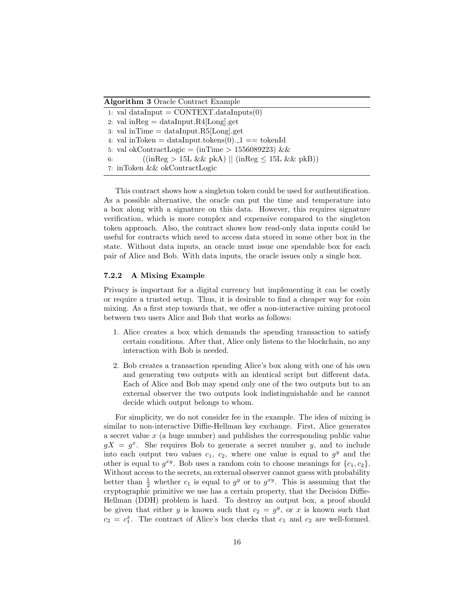Algorithm 3 Oracle Contract Example

1: val dataInput =  $CONTEXT.dataInputStream(0)$ 2: val in $\text{Reg} = \text{dataInput} \cdot \text{R4}[\text{Long}]$ .get 3: val in Time  $=$  dataInput.R5[Long].get 4: val inToken = dataInput.tokens $(0)$ .  $1$  = tokenId 5: val okContractLogic =  $(inTime > 1556089223)$  & & 6:  $((\text{inReg} > 15L \& \& \text{pkA}) || (\text{inReg} \leq 15L \& \& \text{pkB}))$ 7: inToken && okContractLogic

This contract shows how a singleton token could be used for authentification. As a possible alternative, the oracle can put the time and temperature into a box along with a signature on this data. However, this requires signature verification, which is more complex and expensive compared to the singleton token approach. Also, the contract shows how read-only data inputs could be useful for contracts which need to access data stored in some other box in the state. Without data inputs, an oracle must issue one spendable box for each pair of Alice and Bob. With data inputs, the oracle issues only a single box.

#### 7.2.2 A Mixing Example

Privacy is important for a digital currency but implementing it can be costly or require a trusted setup. Thus, it is desirable to find a cheaper way for coin mixing. As a first step towards that, we offer a non-interactive mixing protocol between two users Alice and Bob that works as follows:

- 1. Alice creates a box which demands the spending transaction to satisfy certain conditions. After that, Alice only listens to the blockchain, no any interaction with Bob is needed.
- 2. Bob creates a transaction spending Alice's box along with one of his own and generating two outputs with an identical script but different data. Each of Alice and Bob may spend only one of the two outputs but to an external observer the two outputs look indistinguishable and he cannot decide which output belongs to whom.

For simplicity, we do not consider fee in the example. The idea of mixing is similar to non-interactive Diffie-Hellman key exchange. First, Alice generates a secret value  $x$  (a huge number) and publishes the corresponding public value  $gX = g^x$ . She requires Bob to generate a secret number y, and to include into each output two values  $c_1, c_2$ , where one value is equal to  $g^y$  and the other is equal to  $g^{xy}$ . Bob uses a random coin to choose meanings for  $\{c_1, c_2\}$ . Without access to the secrets, an external observer cannot guess with probability better than  $\frac{1}{2}$  whether  $c_1$  is equal to  $g^y$  or to  $g^{xy}$ . This is assuming that the cryptographic primitive we use has a certain property, that the Decision Diffie-Hellman (DDH) problem is hard. To destroy an output box, a proof should be given that either y is known such that  $c_2 = g^y$ , or x is known such that  $c_2 = c_1^x$ . The contract of Alice's box checks that  $c_1$  and  $c_2$  are well-formed.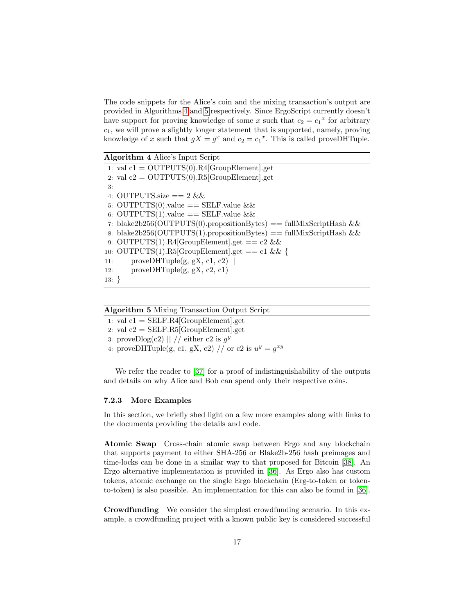The code snippets for the Alice's coin and the mixing transaction's output are provided in Algorithms [4](#page-16-0) and [5](#page-16-1) respectively. Since ErgoScript currently doesn't have support for proving knowledge of some x such that  $c_2 = c_1^x$  for arbitrary  $c_1$ , we will prove a slightly longer statement that is supported, namely, proving knowledge of x such that  $gX = g^x$  and  $c_2 = c_1^x$ . This is called proveDHTuple.

<span id="page-16-0"></span>Algorithm 4 Alice's Input Script 1: val  $c1 =$  OUTPUTS(0).R4[GroupElement].get 2: val  $c2 = OUTPUTS(0).R5[GroupElement].get$ 3: 4: OUTPUTS.size  $== 2 \&$ 5: OUTPUTS(0).value  $==$  SELF.value && 6: OUTPUTS(1).value == SELF.value & & 7: blake2b256(OUTPUTS(0).propositionBytes) == fullMixScriptHash && 8: blake2b256(OUTPUTS(1).propositionBytes) == fullMixScriptHash && 9: OUTPUTS(1).R4[GroupElement].get ==  $c2 \&&$ 10: OUTPUTS(1).R5[GroupElement].get == c1 && { 11: proveDHTuple(g, gX, c1, c2)  $\parallel$ 12: proveDHTuple(g, gX, c2, c1) 13: }

<span id="page-16-1"></span>

| <b>Algorithm 5</b> Mixing Transaction Output Script       |  |
|-----------------------------------------------------------|--|
| 1: val $c1 = SELF.R4[GroupElement].get$                   |  |
| 2. val $c2 = \text{SELF.R5}$ [GroupElement].get           |  |
| 3: proveDlog(c2)    // either c2 is $q^y$                 |  |
| 4: proveDHTuple(g, c1, gX, c2) // or c2 is $u^y = g^{xy}$ |  |

We refer the reader to [\[37\]](#page-21-1) for a proof of indistinguishability of the outputs and details on why Alice and Bob can spend only their respective coins.

#### 7.2.3 More Examples

In this section, we briefly shed light on a few more examples along with links to the documents providing the details and code.

Atomic Swap Cross-chain atomic swap between Ergo and any blockchain that supports payment to either SHA-256 or Blake2b-256 hash preimages and time-locks can be done in a similar way to that proposed for Bitcoin [\[38\]](#page-21-2). An Ergo alternative implementation is provided in [\[36\]](#page-21-0). As Ergo also has custom tokens, atomic exchange on the single Ergo blockchain (Erg-to-token or tokento-token) is also possible. An implementation for this can also be found in [\[36\]](#page-21-0).

Crowdfunding We consider the simplest crowdfunding scenario. In this example, a crowdfunding project with a known public key is considered successful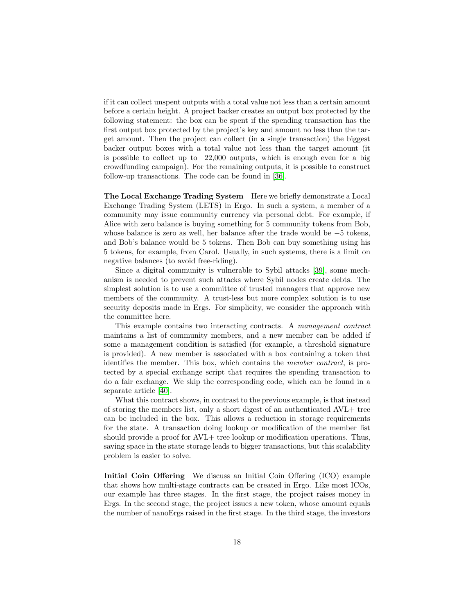if it can collect unspent outputs with a total value not less than a certain amount before a certain height. A project backer creates an output box protected by the following statement: the box can be spent if the spending transaction has the first output box protected by the project's key and amount no less than the target amount. Then the project can collect (in a single transaction) the biggest backer output boxes with a total value not less than the target amount (it is possible to collect up to 22,000 outputs, which is enough even for a big crowdfunding campaign). For the remaining outputs, it is possible to construct follow-up transactions. The code can be found in [\[36\]](#page-21-0).

The Local Exchange Trading System Here we briefly demonstrate a Local Exchange Trading System (LETS) in Ergo. In such a system, a member of a community may issue community currency via personal debt. For example, if Alice with zero balance is buying something for 5 community tokens from Bob, whose balance is zero as well, her balance after the trade would be −5 tokens, and Bob's balance would be 5 tokens. Then Bob can buy something using his 5 tokens, for example, from Carol. Usually, in such systems, there is a limit on negative balances (to avoid free-riding).

Since a digital community is vulnerable to Sybil attacks [\[39\]](#page-21-3), some mechanism is needed to prevent such attacks where Sybil nodes create debts. The simplest solution is to use a committee of trusted managers that approve new members of the community. A trust-less but more complex solution is to use security deposits made in Ergs. For simplicity, we consider the approach with the committee here.

This example contains two interacting contracts. A management contract maintains a list of community members, and a new member can be added if some a management condition is satisfied (for example, a threshold signature is provided). A new member is associated with a box containing a token that identifies the member. This box, which contains the member contract, is protected by a special exchange script that requires the spending transaction to do a fair exchange. We skip the corresponding code, which can be found in a separate article [\[40\]](#page-21-4).

What this contract shows, in contrast to the previous example, is that instead of storing the members list, only a short digest of an authenticated AVL+ tree can be included in the box. This allows a reduction in storage requirements for the state. A transaction doing lookup or modification of the member list should provide a proof for AVL+ tree lookup or modification operations. Thus, saving space in the state storage leads to bigger transactions, but this scalability problem is easier to solve.

Initial Coin Offering We discuss an Initial Coin Offering (ICO) example that shows how multi-stage contracts can be created in Ergo. Like most ICOs, our example has three stages. In the first stage, the project raises money in Ergs. In the second stage, the project issues a new token, whose amount equals the number of nanoErgs raised in the first stage. In the third stage, the investors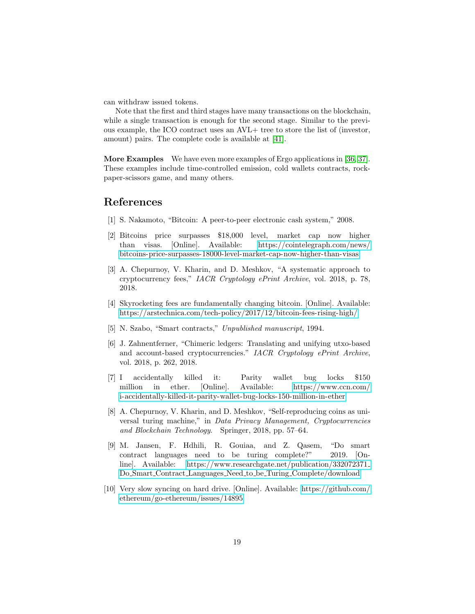can withdraw issued tokens.

Note that the first and third stages have many transactions on the blockchain, while a single transaction is enough for the second stage. Similar to the previous example, the ICO contract uses an AVL+ tree to store the list of (investor, amount) pairs. The complete code is available at [\[41\]](#page-21-5).

More Examples We have even more examples of Ergo applications in [\[36,](#page-21-0) [37\]](#page-21-1). These examples include time-controlled emission, cold wallets contracts, rockpaper-scissors game, and many others.

### References

- <span id="page-18-0"></span>[1] S. Nakamoto, "Bitcoin: A peer-to-peer electronic cash system," 2008.
- <span id="page-18-1"></span>[2] Bitcoins price surpasses \$18,000 level, market cap now higher than visas. [Online]. Available: [https://cointelegraph.com/news/](https://cointelegraph.com/news/bitcoins-price-surpasses-18000-level-market-cap-now-higher-than-visas) [bitcoins-price-surpasses-18000-level-market-cap-now-higher-than-visas](https://cointelegraph.com/news/bitcoins-price-surpasses-18000-level-market-cap-now-higher-than-visas)
- <span id="page-18-2"></span>[3] A. Chepurnoy, V. Kharin, and D. Meshkov, "A systematic approach to cryptocurrency fees," IACR Cryptology ePrint Archive, vol. 2018, p. 78, 2018.
- <span id="page-18-3"></span>[4] Skyrocketing fees are fundamentally changing bitcoin. [Online]. Available: <https://arstechnica.com/tech-policy/2017/12/bitcoin-fees-rising-high/>
- <span id="page-18-4"></span>[5] N. Szabo, "Smart contracts," Unpublished manuscript, 1994.
- <span id="page-18-5"></span>[6] J. Zahnentferner, "Chimeric ledgers: Translating and unifying utxo-based and account-based cryptocurrencies." IACR Cryptology ePrint Archive, vol. 2018, p. 262, 2018.
- <span id="page-18-6"></span>[7] I accidentally killed it: Parity wallet bug locks \$150 million in ether. [Online]. Available: [https://www.ccn.com/](https://www.ccn.com/i-accidentally-killed-it-parity-wallet-bug-locks-150-million-in-ether) [i-accidentally-killed-it-parity-wallet-bug-locks-150-million-in-ether](https://www.ccn.com/i-accidentally-killed-it-parity-wallet-bug-locks-150-million-in-ether)
- <span id="page-18-7"></span>[8] A. Chepurnoy, V. Kharin, and D. Meshkov, "Self-reproducing coins as universal turing machine," in Data Privacy Management, Cryptocurrencies and Blockchain Technology. Springer, 2018, pp. 57–64.
- <span id="page-18-8"></span>[9] M. Jansen, F. Hdhili, R. Gouiaa, and Z. Qasem, "Do smart contract languages need to be turing complete?" 2019. [Online]. Available: [https://www.researchgate.net/publication/332072371](https://www.researchgate.net/publication/332072371_Do_Smart_Contract_Languages_Need_to_be_Turing_Complete/download) Do Smart Contract Languages Need to be Turing [Complete/download](https://www.researchgate.net/publication/332072371_Do_Smart_Contract_Languages_Need_to_be_Turing_Complete/download)
- <span id="page-18-9"></span>[10] Very slow syncing on hard drive. [Online]. Available: [https://github.com/](https://github.com/ethereum/go-ethereum/issues/14895) [ethereum/go-ethereum/issues/14895](https://github.com/ethereum/go-ethereum/issues/14895)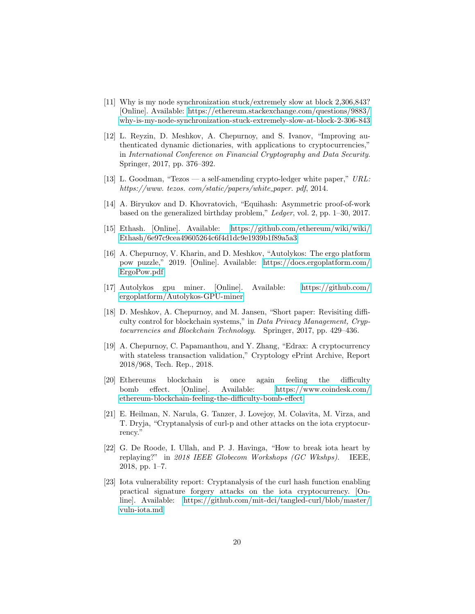- <span id="page-19-0"></span>[11] Why is my node synchronization stuck/extremely slow at block 2,306,843? [Online]. Available: [https://ethereum.stackexchange.com/questions/9883/](https://ethereum.stackexchange.com/questions/9883/why-is-my-node-synchronization-stuck-extremely-slow-at-block-2-306-843) [why-is-my-node-synchronization-stuck-extremely-slow-at-block-2-306-843](https://ethereum.stackexchange.com/questions/9883/why-is-my-node-synchronization-stuck-extremely-slow-at-block-2-306-843)
- <span id="page-19-1"></span>[12] L. Reyzin, D. Meshkov, A. Chepurnoy, and S. Ivanov, "Improving authenticated dynamic dictionaries, with applications to cryptocurrencies," in International Conference on Financial Cryptography and Data Security. Springer, 2017, pp. 376–392.
- <span id="page-19-2"></span>[13] L. Goodman, "Tezos — a self-amending crypto-ledger white paper," URL: https://www.tezos.com/static/papers/white\_paper.pdf, 2014.
- <span id="page-19-3"></span>[14] A. Biryukov and D. Khovratovich, "Equihash: Asymmetric proof-of-work based on the generalized birthday problem," Ledger, vol. 2, pp. 1–30, 2017.
- <span id="page-19-4"></span>[15] Ethash. [Online]. Available: [https://github.com/ethereum/wiki/wiki/](https://github.com/ethereum/wiki/wiki/Ethash/6e97c9cea49605264c6f4d1dc9e1939b1f89a5a3) [Ethash/6e97c9cea49605264c6f4d1dc9e1939b1f89a5a3](https://github.com/ethereum/wiki/wiki/Ethash/6e97c9cea49605264c6f4d1dc9e1939b1f89a5a3)
- <span id="page-19-5"></span>[16] A. Chepurnoy, V. Kharin, and D. Meshkov, "Autolykos: The ergo platform pow puzzle," 2019. [Online]. Available: [https://docs.ergoplatform.com/](https://docs.ergoplatform.com/ErgoPow.pdf) [ErgoPow.pdf](https://docs.ergoplatform.com/ErgoPow.pdf)
- <span id="page-19-6"></span>[17] Autolykos gpu miner. [Online]. Available: [https://github.com/](https://github.com/ergoplatform/Autolykos-GPU-miner) [ergoplatform/Autolykos-GPU-miner](https://github.com/ergoplatform/Autolykos-GPU-miner)
- <span id="page-19-7"></span>[18] D. Meshkov, A. Chepurnoy, and M. Jansen, "Short paper: Revisiting difficulty control for blockchain systems," in Data Privacy Management, Cryptocurrencies and Blockchain Technology. Springer, 2017, pp. 429–436.
- <span id="page-19-8"></span>[19] A. Chepurnoy, C. Papamanthou, and Y. Zhang, "Edrax: A cryptocurrency with stateless transaction validation," Cryptology ePrint Archive, Report 2018/968, Tech. Rep., 2018.
- <span id="page-19-9"></span>[20] Ethereums blockchain is once again feeling the difficulty bomb effect. [Online]. Available: [https://www.coindesk.com/](https://www.coindesk.com/ethereum-blockchain-feeling-the-difficulty-bomb-effect) [ethereum-blockchain-feeling-the-difficulty-bomb-effect](https://www.coindesk.com/ethereum-blockchain-feeling-the-difficulty-bomb-effect)
- <span id="page-19-10"></span>[21] E. Heilman, N. Narula, G. Tanzer, J. Lovejoy, M. Colavita, M. Virza, and T. Dryja, "Cryptanalysis of curl-p and other attacks on the iota cryptocurrency."
- <span id="page-19-11"></span>[22] G. De Roode, I. Ullah, and P. J. Havinga, "How to break iota heart by replaying?" in 2018 IEEE Globecom Workshops (GC Wkshps). IEEE, 2018, pp. 1–7.
- <span id="page-19-12"></span>[23] Iota vulnerability report: Cryptanalysis of the curl hash function enabling practical signature forgery attacks on the iota cryptocurrency. [Online]. Available: [https://github.com/mit-dci/tangled-curl/blob/master/](https://github.com/mit-dci/tangled-curl/blob/master/vuln-iota.md) [vuln-iota.md](https://github.com/mit-dci/tangled-curl/blob/master/vuln-iota.md)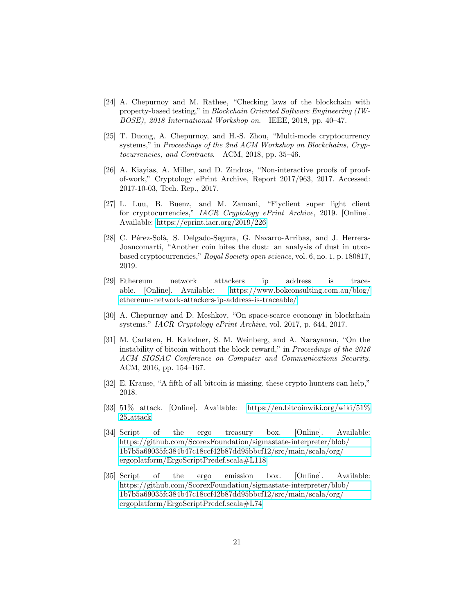- <span id="page-20-0"></span>[24] A. Chepurnoy and M. Rathee, "Checking laws of the blockchain with property-based testing," in Blockchain Oriented Software Engineering (IW-BOSE), 2018 International Workshop on. IEEE, 2018, pp. 40–47.
- <span id="page-20-1"></span>[25] T. Duong, A. Chepurnoy, and H.-S. Zhou, "Multi-mode cryptocurrency systems," in Proceedings of the 2nd ACM Workshop on Blockchains, Cryptocurrencies, and Contracts. ACM, 2018, pp. 35–46.
- <span id="page-20-2"></span>[26] A. Kiayias, A. Miller, and D. Zindros, "Non-interactive proofs of proofof-work," Cryptology ePrint Archive, Report 2017/963, 2017. Accessed: 2017-10-03, Tech. Rep., 2017.
- <span id="page-20-3"></span>[27] L. Luu, B. Buenz, and M. Zamani, "Flyclient super light client for cryptocurrencies," IACR Cryptology ePrint Archive, 2019. [Online]. Available:<https://eprint.iacr.org/2019/226>
- <span id="page-20-4"></span>[28] C. Pérez-Solà, S. Delgado-Segura, G. Navarro-Arribas, and J. Herrera-Joancomartí, "Another coin bites the dust: an analysis of dust in utxobased cryptocurrencies," Royal Society open science, vol. 6, no. 1, p. 180817, 2019.
- <span id="page-20-5"></span>[29] Ethereum network attackers ip address is traceable. [Online]. Available: [https://www.bokconsulting.com.au/blog/](https://www.bokconsulting.com.au/blog/ethereum-network-attackers-ip-address-is-traceable/) [ethereum-network-attackers-ip-address-is-traceable/](https://www.bokconsulting.com.au/blog/ethereum-network-attackers-ip-address-is-traceable/)
- <span id="page-20-6"></span>[30] A. Chepurnoy and D. Meshkov, "On space-scarce economy in blockchain systems." IACR Cryptology ePrint Archive, vol. 2017, p. 644, 2017.
- <span id="page-20-7"></span>[31] M. Carlsten, H. Kalodner, S. M. Weinberg, and A. Narayanan, "On the instability of bitcoin without the block reward," in Proceedings of the 2016 ACM SIGSAC Conference on Computer and Communications Security. ACM, 2016, pp. 154–167.
- <span id="page-20-8"></span>[32] E. Krause, "A fifth of all bitcoin is missing. these crypto hunters can help," 2018.
- <span id="page-20-9"></span>[33] 51% attack. [Online]. Available: [https://en.bitcoinwiki.org/wiki/51%](https://en.bitcoinwiki.org/wiki/51%25_attack) 25 [attack](https://en.bitcoinwiki.org/wiki/51%25_attack)
- <span id="page-20-10"></span>[34] Script of the ergo treasury box. [Online]. Available: [https://github.com/ScorexFoundation/sigmastate-interpreter/blob/](https://github.com/ScorexFoundation/sigmastate-interpreter/blob/1b7b5a69035fc384b47c18ccf42b87dd95bbcf12/src/main/scala/org/ergoplatform/ErgoScriptPredef.scala#L118) [1b7b5a69035fc384b47c18ccf42b87dd95bbcf12/src/main/scala/org/](https://github.com/ScorexFoundation/sigmastate-interpreter/blob/1b7b5a69035fc384b47c18ccf42b87dd95bbcf12/src/main/scala/org/ergoplatform/ErgoScriptPredef.scala#L118) [ergoplatform/ErgoScriptPredef.scala#L118](https://github.com/ScorexFoundation/sigmastate-interpreter/blob/1b7b5a69035fc384b47c18ccf42b87dd95bbcf12/src/main/scala/org/ergoplatform/ErgoScriptPredef.scala#L118)
- <span id="page-20-11"></span>[35] Script of the ergo emission box. [Online]. Available: [https://github.com/ScorexFoundation/sigmastate-interpreter/blob/](https://github.com/ScorexFoundation/sigmastate-interpreter/blob/1b7b5a69035fc384b47c18ccf42b87dd95bbcf12/src/main/scala/org/ergoplatform/ErgoScriptPredef.scala#L74) [1b7b5a69035fc384b47c18ccf42b87dd95bbcf12/src/main/scala/org/](https://github.com/ScorexFoundation/sigmastate-interpreter/blob/1b7b5a69035fc384b47c18ccf42b87dd95bbcf12/src/main/scala/org/ergoplatform/ErgoScriptPredef.scala#L74) [ergoplatform/ErgoScriptPredef.scala#L74](https://github.com/ScorexFoundation/sigmastate-interpreter/blob/1b7b5a69035fc384b47c18ccf42b87dd95bbcf12/src/main/scala/org/ergoplatform/ErgoScriptPredef.scala#L74)